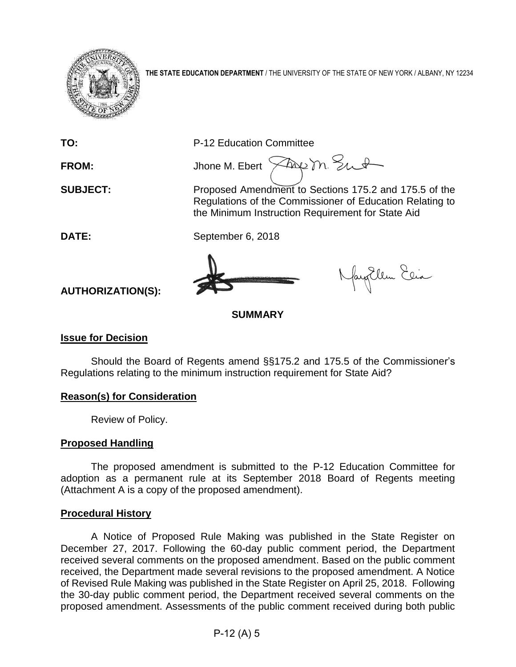

**THE STATE EDUCATION DEPARTMENT** / THE UNIVERSITY OF THE STATE OF NEW YORK / ALBANY, NY 12234

**TO:** P-12 Education Committee

FROM: Jhone M. Ebert  $\widehat{\times}$ Ane m. Sut

**SUBJECT:** Proposed Amendment to Sections 175.2 and 175.5 of the Regulations of the Commissioner of Education Relating to the Minimum Instruction Requirement for State Aid

**DATE:** September 6, 2018

Nagellem Elia

**AUTHORIZATION(S):**

**SUMMARY**

# **Issue for Decision**

Should the Board of Regents amend §§175.2 and 175.5 of the Commissioner's Regulations relating to the minimum instruction requirement for State Aid?

# **Reason(s) for Consideration**

Review of Policy.

# **Proposed Handling**

The proposed amendment is submitted to the P-12 Education Committee for adoption as a permanent rule at its September 2018 Board of Regents meeting (Attachment A is a copy of the proposed amendment).

# **Procedural History**

A Notice of Proposed Rule Making was published in the State Register on December 27, 2017. Following the 60-day public comment period, the Department received several comments on the proposed amendment. Based on the public comment received, the Department made several revisions to the proposed amendment. A Notice of Revised Rule Making was published in the State Register on April 25, 2018. Following the 30-day public comment period, the Department received several comments on the proposed amendment. Assessments of the public comment received during both public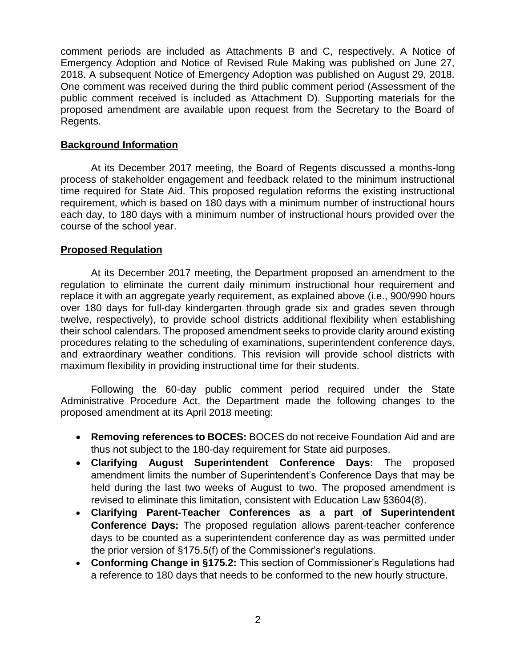comment periods are included as Attachments B and C, respectively. A Notice of Emergency Adoption and Notice of Revised Rule Making was published on June 27, 2018. A subsequent Notice of Emergency Adoption was published on August 29, 2018. One comment was received during the third public comment period (Assessment of the public comment received is included as Attachment D). Supporting materials for the proposed amendment are available upon request from the Secretary to the Board of Regents.

## **Background Information**

At its December 2017 meeting, the Board of Regents discussed a months-long process of stakeholder engagement and feedback related to the minimum instructional time required for State Aid. This proposed regulation reforms the existing instructional requirement, which is based on 180 days with a minimum number of instructional hours each day, to 180 days with a minimum number of instructional hours provided over the course of the school year.

# **Proposed Regulation**

At its December 2017 meeting, the Department proposed an amendment to the regulation to eliminate the current daily minimum instructional hour requirement and replace it with an aggregate yearly requirement, as explained above (i.e., 900/990 hours over 180 days for full-day kindergarten through grade six and grades seven through twelve, respectively), to provide school districts additional flexibility when establishing their school calendars. The proposed amendment seeks to provide clarity around existing procedures relating to the scheduling of examinations, superintendent conference days, and extraordinary weather conditions. This revision will provide school districts with maximum flexibility in providing instructional time for their students.

Following the 60-day public comment period required under the State Administrative Procedure Act, the Department made the following changes to the proposed amendment at its April 2018 meeting:

- **Removing references to BOCES:** BOCES do not receive Foundation Aid and are thus not subject to the 180-day requirement for State aid purposes.
- **Clarifying August Superintendent Conference Days:** The proposed amendment limits the number of Superintendent's Conference Days that may be held during the last two weeks of August to two. The proposed amendment is revised to eliminate this limitation, consistent with Education Law §3604(8).
- **Clarifying Parent-Teacher Conferences as a part of Superintendent Conference Days:** The proposed regulation allows parent-teacher conference days to be counted as a superintendent conference day as was permitted under the prior version of §175.5(f) of the Commissioner's regulations.
- **Conforming Change in §175.2:** This section of Commissioner's Regulations had a reference to 180 days that needs to be conformed to the new hourly structure.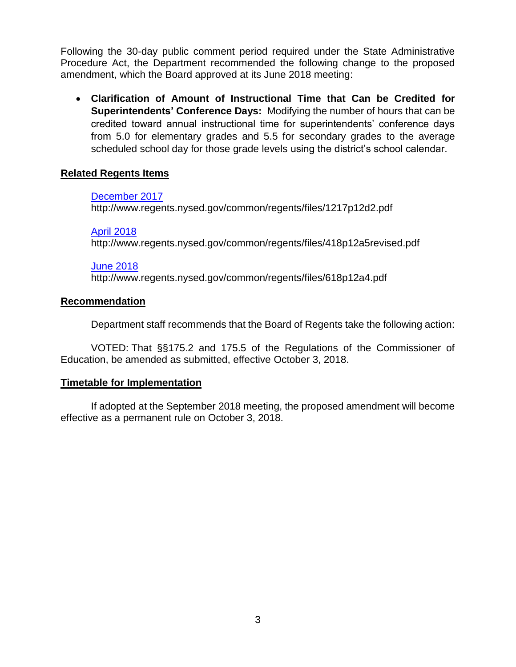Following the 30-day public comment period required under the State Administrative Procedure Act, the Department recommended the following change to the proposed amendment, which the Board approved at its June 2018 meeting:

• **Clarification of Amount of Instructional Time that Can be Credited for Superintendents' Conference Days:** Modifying the number of hours that can be credited toward annual instructional time for superintendents' conference days from 5.0 for elementary grades and 5.5 for secondary grades to the average scheduled school day for those grade levels using the district's school calendar.

# **Related Regents Items**

## [December 2017](http://www.regents.nysed.gov/common/regents/files/1217p12d2.pdf)

http://www.regents.nysed.gov/common/regents/files/1217p12d2.pdf

## [April 2018](http://www.regents.nysed.gov/common/regents/files/418p12a5revised.pdf)

http://www.regents.nysed.gov/common/regents/files/418p12a5revised.pdf

## [June 2018](http://www.regents.nysed.gov/common/regents/files/618p12a4.pdf)

http://www.regents.nysed.gov/common/regents/files/618p12a4.pdf

# **Recommendation**

Department staff recommends that the Board of Regents take the following action:

VOTED: That §§175.2 and 175.5 of the Regulations of the Commissioner of Education, be amended as submitted, effective October 3, 2018.

# **Timetable for Implementation**

If adopted at the September 2018 meeting, the proposed amendment will become effective as a permanent rule on October 3, 2018.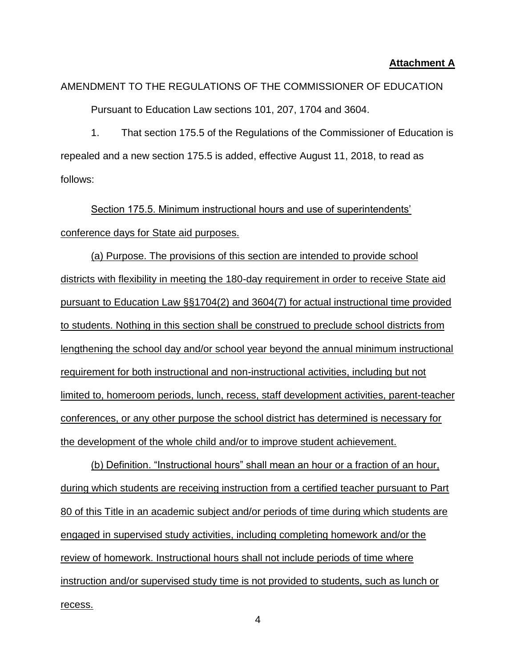## **Attachment A**

# AMENDMENT TO THE REGULATIONS OF THE COMMISSIONER OF EDUCATION Pursuant to Education Law sections 101, 207, 1704 and 3604.

1. That section 175.5 of the Regulations of the Commissioner of Education is repealed and a new section 175.5 is added, effective August 11, 2018, to read as follows:

Section 175.5. Minimum instructional hours and use of superintendents' conference days for State aid purposes.

(a) Purpose. The provisions of this section are intended to provide school districts with flexibility in meeting the 180-day requirement in order to receive State aid pursuant to Education Law §§1704(2) and 3604(7) for actual instructional time provided to students. Nothing in this section shall be construed to preclude school districts from lengthening the school day and/or school year beyond the annual minimum instructional requirement for both instructional and non-instructional activities, including but not limited to, homeroom periods, lunch, recess, staff development activities, parent-teacher conferences, or any other purpose the school district has determined is necessary for the development of the whole child and/or to improve student achievement.

(b) Definition. "Instructional hours" shall mean an hour or a fraction of an hour, during which students are receiving instruction from a certified teacher pursuant to Part 80 of this Title in an academic subject and/or periods of time during which students are engaged in supervised study activities, including completing homework and/or the review of homework. Instructional hours shall not include periods of time where instruction and/or supervised study time is not provided to students, such as lunch or recess.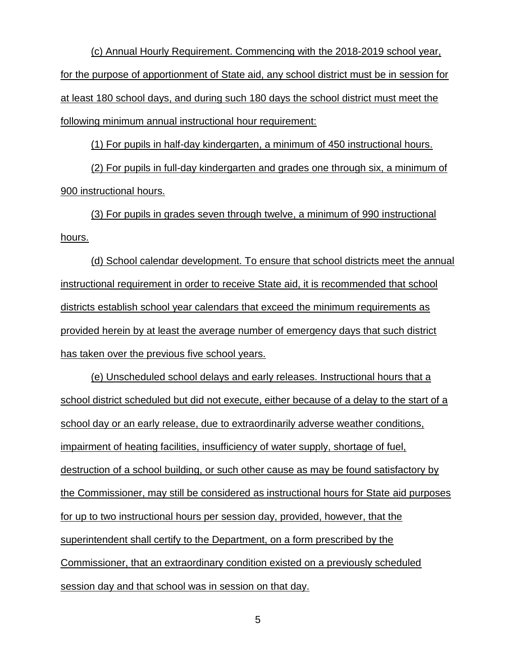(c) Annual Hourly Requirement. Commencing with the 2018-2019 school year, for the purpose of apportionment of State aid, any school district must be in session for at least 180 school days, and during such 180 days the school district must meet the following minimum annual instructional hour requirement:

(1) For pupils in half-day kindergarten, a minimum of 450 instructional hours.

(2) For pupils in full-day kindergarten and grades one through six, a minimum of 900 instructional hours.

(3) For pupils in grades seven through twelve, a minimum of 990 instructional hours.

(d) School calendar development. To ensure that school districts meet the annual instructional requirement in order to receive State aid, it is recommended that school districts establish school year calendars that exceed the minimum requirements as provided herein by at least the average number of emergency days that such district has taken over the previous five school years.

(e) Unscheduled school delays and early releases. Instructional hours that a school district scheduled but did not execute, either because of a delay to the start of a school day or an early release, due to extraordinarily adverse weather conditions, impairment of heating facilities, insufficiency of water supply, shortage of fuel, destruction of a school building, or such other cause as may be found satisfactory by the Commissioner, may still be considered as instructional hours for State aid purposes for up to two instructional hours per session day, provided, however, that the superintendent shall certify to the Department, on a form prescribed by the Commissioner, that an extraordinary condition existed on a previously scheduled session day and that school was in session on that day.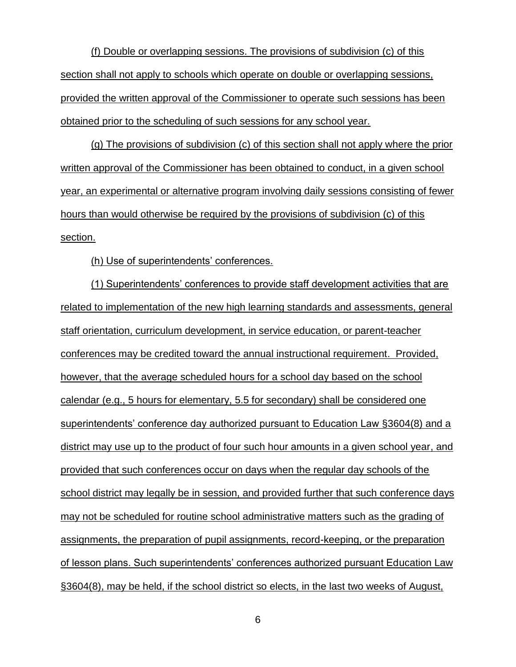(f) Double or overlapping sessions. The provisions of subdivision (c) of this section shall not apply to schools which operate on double or overlapping sessions, provided the written approval of the Commissioner to operate such sessions has been obtained prior to the scheduling of such sessions for any school year.

(g) The provisions of subdivision (c) of this section shall not apply where the prior written approval of the Commissioner has been obtained to conduct, in a given school year, an experimental or alternative program involving daily sessions consisting of fewer hours than would otherwise be required by the provisions of subdivision (c) of this section.

(h) Use of superintendents' conferences.

(1) Superintendents' conferences to provide staff development activities that are related to implementation of the new high learning standards and assessments, general staff orientation, curriculum development, in service education, or parent-teacher conferences may be credited toward the annual instructional requirement. Provided, however, that the average scheduled hours for a school day based on the school calendar (e.g., 5 hours for elementary, 5.5 for secondary) shall be considered one superintendents' conference day authorized pursuant to Education Law §3604(8) and a district may use up to the product of four such hour amounts in a given school year, and provided that such conferences occur on days when the regular day schools of the school district may legally be in session, and provided further that such conference days may not be scheduled for routine school administrative matters such as the grading of assignments, the preparation of pupil assignments, record-keeping, or the preparation of lesson plans. Such superintendents' conferences authorized pursuant Education Law §3604(8), may be held, if the school district so elects, in the last two weeks of August,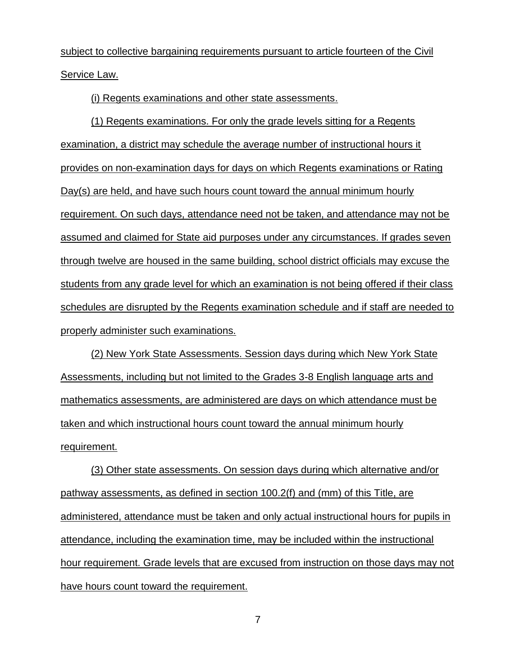subject to collective bargaining requirements pursuant to article fourteen of the Civil Service Law.

(i) Regents examinations and other state assessments.

(1) Regents examinations. For only the grade levels sitting for a Regents examination, a district may schedule the average number of instructional hours it provides on non-examination days for days on which Regents examinations or Rating Day(s) are held, and have such hours count toward the annual minimum hourly requirement. On such days, attendance need not be taken, and attendance may not be assumed and claimed for State aid purposes under any circumstances. If grades seven through twelve are housed in the same building, school district officials may excuse the students from any grade level for which an examination is not being offered if their class schedules are disrupted by the Regents examination schedule and if staff are needed to properly administer such examinations.

(2) New York State Assessments. Session days during which New York State Assessments, including but not limited to the Grades 3-8 English language arts and mathematics assessments, are administered are days on which attendance must be taken and which instructional hours count toward the annual minimum hourly requirement.

(3) Other state assessments. On session days during which alternative and/or pathway assessments, as defined in section 100.2(f) and (mm) of this Title, are administered, attendance must be taken and only actual instructional hours for pupils in attendance, including the examination time, may be included within the instructional hour requirement. Grade levels that are excused from instruction on those days may not have hours count toward the requirement.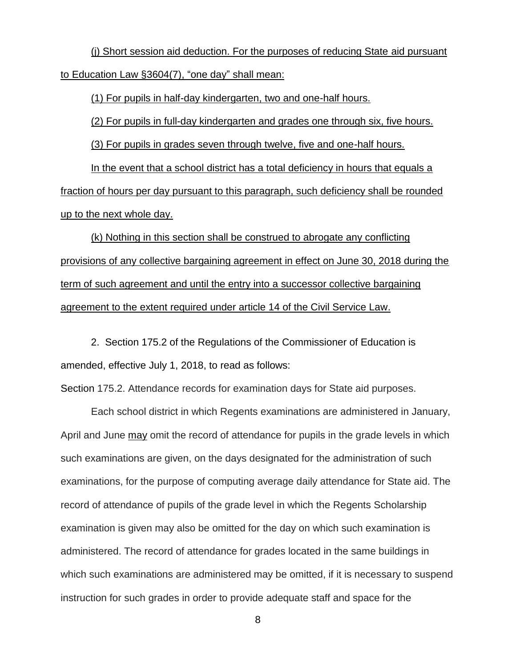(j) Short session aid deduction. For the purposes of reducing State aid pursuant to Education Law §3604(7), "one day" shall mean:

(1) For pupils in half-day kindergarten, two and one-half hours.

(2) For pupils in full-day kindergarten and grades one through six, five hours.

(3) For pupils in grades seven through twelve, five and one-half hours.

In the event that a school district has a total deficiency in hours that equals a fraction of hours per day pursuant to this paragraph, such deficiency shall be rounded up to the next whole day.

(k) Nothing in this section shall be construed to abrogate any conflicting provisions of any collective bargaining agreement in effect on June 30, 2018 during the term of such agreement and until the entry into a successor collective bargaining agreement to the extent required under article 14 of the Civil Service Law.

2. Section 175.2 of the Regulations of the Commissioner of Education is amended, effective July 1, 2018, to read as follows:

Section 175.2. Attendance records for examination days for State aid purposes.

Each school district in which Regents examinations are administered in January, April and June may omit the record of attendance for pupils in the grade levels in which such examinations are given, on the days designated for the administration of such examinations, for the purpose of computing average daily attendance for State aid. The record of attendance of pupils of the grade level in which the Regents Scholarship examination is given may also be omitted for the day on which such examination is administered. The record of attendance for grades located in the same buildings in which such examinations are administered may be omitted, if it is necessary to suspend instruction for such grades in order to provide adequate staff and space for the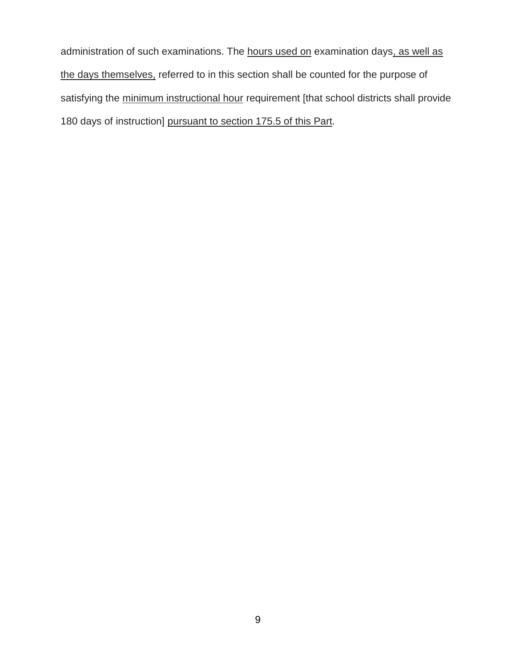administration of such examinations. The hours used on examination days, as well as the days themselves, referred to in this section shall be counted for the purpose of satisfying the minimum instructional hour requirement [that school districts shall provide 180 days of instruction] pursuant to section 175.5 of this Part.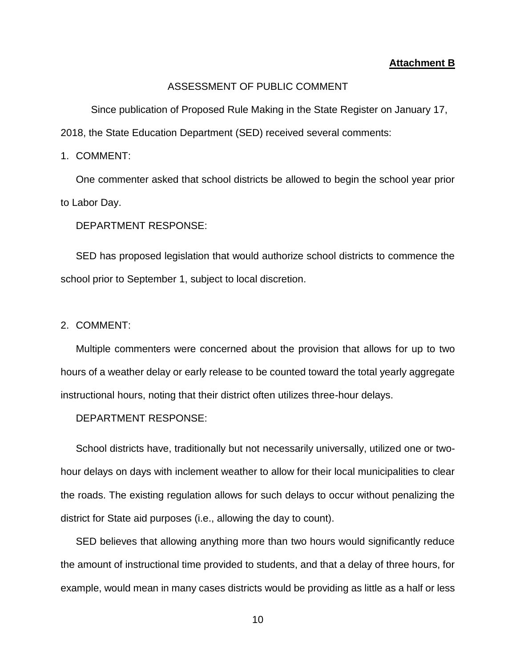#### **Attachment B**

## ASSESSMENT OF PUBLIC COMMENT

Since publication of Proposed Rule Making in the State Register on January 17, 2018, the State Education Department (SED) received several comments:

1. COMMENT:

One commenter asked that school districts be allowed to begin the school year prior to Labor Day.

DEPARTMENT RESPONSE:

SED has proposed legislation that would authorize school districts to commence the school prior to September 1, subject to local discretion.

2. COMMENT:

Multiple commenters were concerned about the provision that allows for up to two hours of a weather delay or early release to be counted toward the total yearly aggregate instructional hours, noting that their district often utilizes three-hour delays.

DEPARTMENT RESPONSE:

School districts have, traditionally but not necessarily universally, utilized one or twohour delays on days with inclement weather to allow for their local municipalities to clear the roads. The existing regulation allows for such delays to occur without penalizing the district for State aid purposes (i.e., allowing the day to count).

SED believes that allowing anything more than two hours would significantly reduce the amount of instructional time provided to students, and that a delay of three hours, for example, would mean in many cases districts would be providing as little as a half or less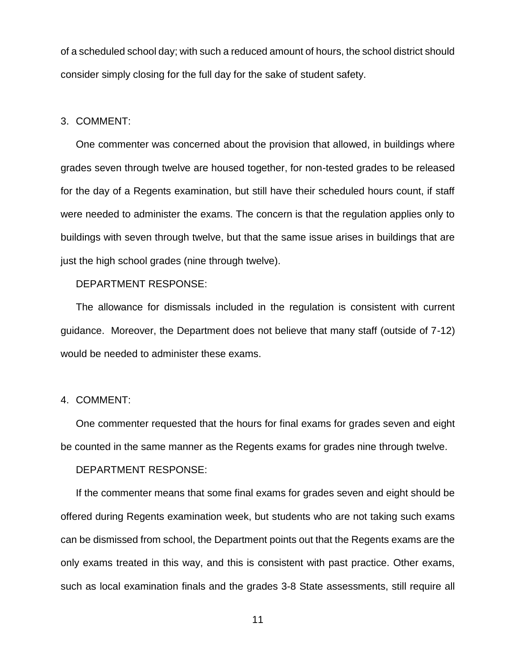of a scheduled school day; with such a reduced amount of hours, the school district should consider simply closing for the full day for the sake of student safety.

#### 3. COMMENT:

One commenter was concerned about the provision that allowed, in buildings where grades seven through twelve are housed together, for non-tested grades to be released for the day of a Regents examination, but still have their scheduled hours count, if staff were needed to administer the exams. The concern is that the regulation applies only to buildings with seven through twelve, but that the same issue arises in buildings that are just the high school grades (nine through twelve).

## DEPARTMENT RESPONSE:

The allowance for dismissals included in the regulation is consistent with current guidance. Moreover, the Department does not believe that many staff (outside of 7-12) would be needed to administer these exams.

#### 4. COMMENT:

One commenter requested that the hours for final exams for grades seven and eight be counted in the same manner as the Regents exams for grades nine through twelve.

## DEPARTMENT RESPONSE:

If the commenter means that some final exams for grades seven and eight should be offered during Regents examination week, but students who are not taking such exams can be dismissed from school, the Department points out that the Regents exams are the only exams treated in this way, and this is consistent with past practice. Other exams, such as local examination finals and the grades 3-8 State assessments, still require all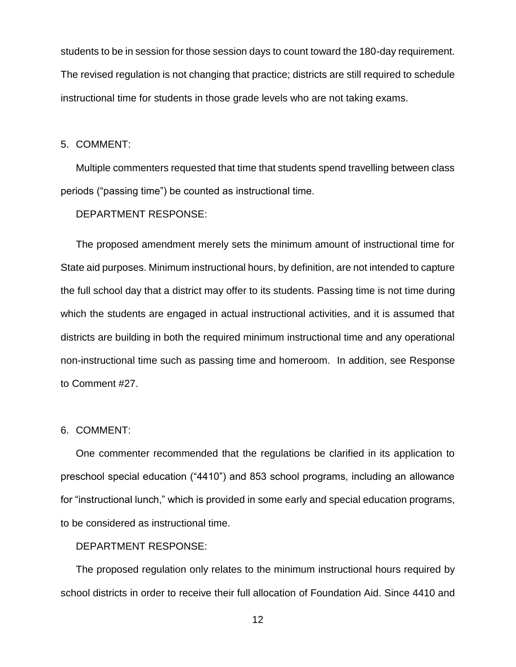students to be in session for those session days to count toward the 180-day requirement. The revised regulation is not changing that practice; districts are still required to schedule instructional time for students in those grade levels who are not taking exams.

#### 5. COMMENT:

Multiple commenters requested that time that students spend travelling between class periods ("passing time") be counted as instructional time.

DEPARTMENT RESPONSE:

The proposed amendment merely sets the minimum amount of instructional time for State aid purposes. Minimum instructional hours, by definition, are not intended to capture the full school day that a district may offer to its students. Passing time is not time during which the students are engaged in actual instructional activities, and it is assumed that districts are building in both the required minimum instructional time and any operational non-instructional time such as passing time and homeroom. In addition, see Response to Comment #27.

#### 6. COMMENT:

One commenter recommended that the regulations be clarified in its application to preschool special education ("4410") and 853 school programs, including an allowance for "instructional lunch," which is provided in some early and special education programs, to be considered as instructional time.

## DEPARTMENT RESPONSE:

The proposed regulation only relates to the minimum instructional hours required by school districts in order to receive their full allocation of Foundation Aid. Since 4410 and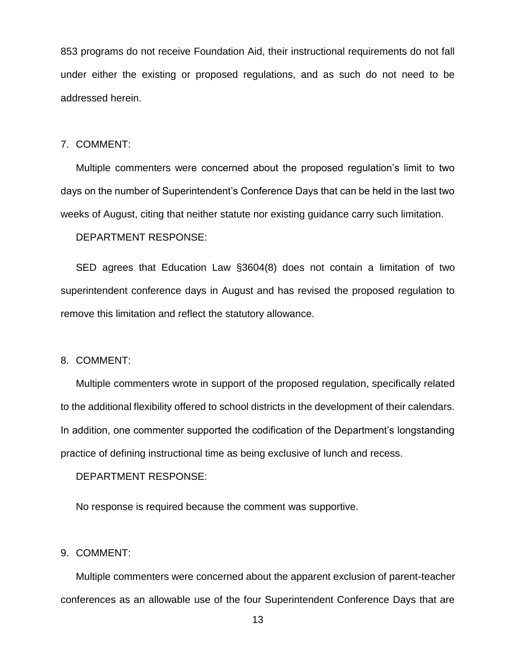853 programs do not receive Foundation Aid, their instructional requirements do not fall under either the existing or proposed regulations, and as such do not need to be addressed herein.

#### 7. COMMENT:

Multiple commenters were concerned about the proposed regulation's limit to two days on the number of Superintendent's Conference Days that can be held in the last two weeks of August, citing that neither statute nor existing guidance carry such limitation.

DEPARTMENT RESPONSE:

SED agrees that Education Law §3604(8) does not contain a limitation of two superintendent conference days in August and has revised the proposed regulation to remove this limitation and reflect the statutory allowance.

#### 8. COMMENT:

Multiple commenters wrote in support of the proposed regulation, specifically related to the additional flexibility offered to school districts in the development of their calendars. In addition, one commenter supported the codification of the Department's longstanding practice of defining instructional time as being exclusive of lunch and recess.

DEPARTMENT RESPONSE:

No response is required because the comment was supportive.

## 9. COMMENT:

Multiple commenters were concerned about the apparent exclusion of parent-teacher conferences as an allowable use of the four Superintendent Conference Days that are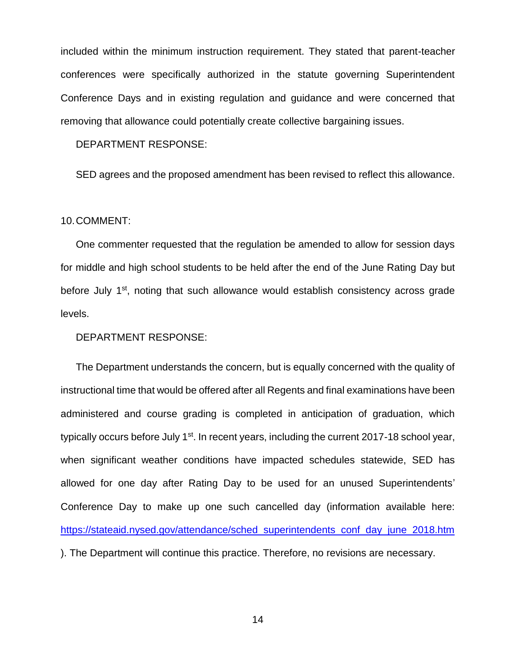included within the minimum instruction requirement. They stated that parent-teacher conferences were specifically authorized in the statute governing Superintendent Conference Days and in existing regulation and guidance and were concerned that removing that allowance could potentially create collective bargaining issues.

DEPARTMENT RESPONSE:

SED agrees and the proposed amendment has been revised to reflect this allowance.

10.COMMENT:

One commenter requested that the regulation be amended to allow for session days for middle and high school students to be held after the end of the June Rating Day but before July 1<sup>st</sup>, noting that such allowance would establish consistency across grade levels.

DEPARTMENT RESPONSE:

The Department understands the concern, but is equally concerned with the quality of instructional time that would be offered after all Regents and final examinations have been administered and course grading is completed in anticipation of graduation, which typically occurs before July 1<sup>st</sup>. In recent years, including the current 2017-18 school year, when significant weather conditions have impacted schedules statewide, SED has allowed for one day after Rating Day to be used for an unused Superintendents' Conference Day to make up one such cancelled day (information available here: [https://stateaid.nysed.gov/attendance/sched\\_superintendents\\_conf\\_day\\_june\\_2018.htm](https://stateaid.nysed.gov/attendance/sched_superintendents_conf_day_june_2018.htm) ). The Department will continue this practice. Therefore, no revisions are necessary.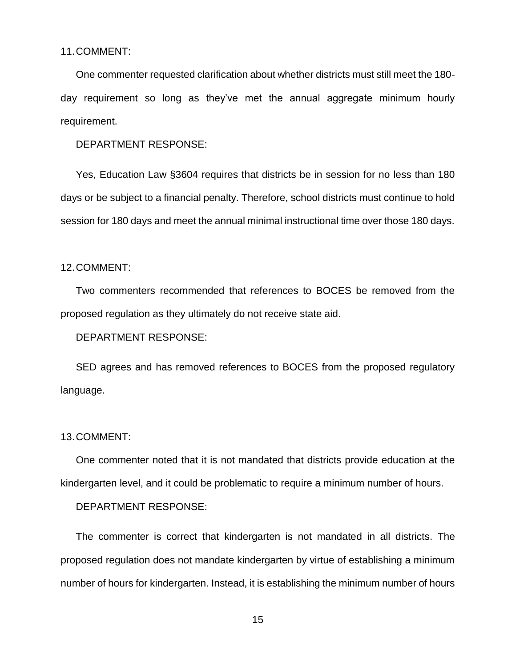#### 11.COMMENT:

One commenter requested clarification about whether districts must still meet the 180 day requirement so long as they've met the annual aggregate minimum hourly requirement.

DEPARTMENT RESPONSE:

Yes, Education Law §3604 requires that districts be in session for no less than 180 days or be subject to a financial penalty. Therefore, school districts must continue to hold session for 180 days and meet the annual minimal instructional time over those 180 days.

#### 12.COMMENT:

Two commenters recommended that references to BOCES be removed from the proposed regulation as they ultimately do not receive state aid.

DEPARTMENT RESPONSE:

SED agrees and has removed references to BOCES from the proposed regulatory language.

## 13.COMMENT:

One commenter noted that it is not mandated that districts provide education at the kindergarten level, and it could be problematic to require a minimum number of hours.

DEPARTMENT RESPONSE:

The commenter is correct that kindergarten is not mandated in all districts. The proposed regulation does not mandate kindergarten by virtue of establishing a minimum number of hours for kindergarten. Instead, it is establishing the minimum number of hours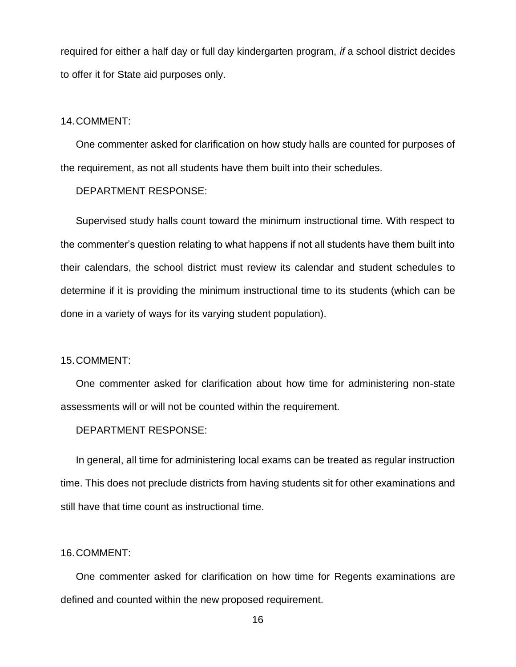required for either a half day or full day kindergarten program, *if* a school district decides to offer it for State aid purposes only.

#### 14.COMMENT:

One commenter asked for clarification on how study halls are counted for purposes of the requirement, as not all students have them built into their schedules.

#### DEPARTMENT RESPONSE:

Supervised study halls count toward the minimum instructional time. With respect to the commenter's question relating to what happens if not all students have them built into their calendars, the school district must review its calendar and student schedules to determine if it is providing the minimum instructional time to its students (which can be done in a variety of ways for its varying student population).

#### 15.COMMENT:

One commenter asked for clarification about how time for administering non-state assessments will or will not be counted within the requirement.

#### DEPARTMENT RESPONSE:

In general, all time for administering local exams can be treated as regular instruction time. This does not preclude districts from having students sit for other examinations and still have that time count as instructional time.

## 16.COMMENT:

One commenter asked for clarification on how time for Regents examinations are defined and counted within the new proposed requirement.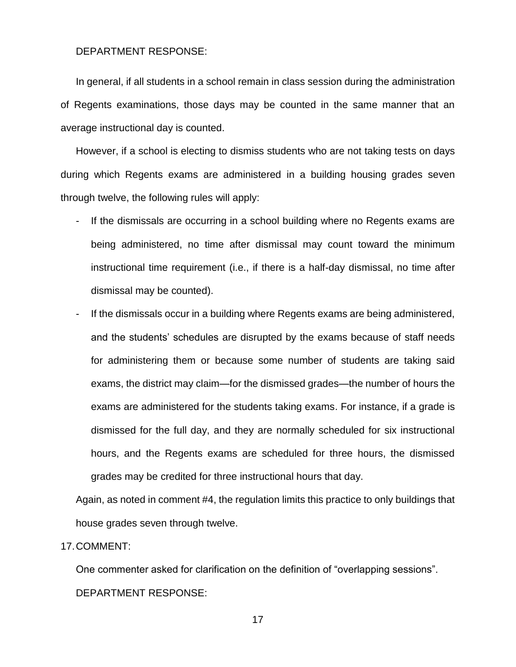#### DEPARTMENT RESPONSE:

In general, if all students in a school remain in class session during the administration of Regents examinations, those days may be counted in the same manner that an average instructional day is counted.

However, if a school is electing to dismiss students who are not taking tests on days during which Regents exams are administered in a building housing grades seven through twelve, the following rules will apply:

- If the dismissals are occurring in a school building where no Regents exams are being administered, no time after dismissal may count toward the minimum instructional time requirement (i.e., if there is a half-day dismissal, no time after dismissal may be counted).
- If the dismissals occur in a building where Regents exams are being administered, and the students' schedules are disrupted by the exams because of staff needs for administering them or because some number of students are taking said exams, the district may claim—for the dismissed grades—the number of hours the exams are administered for the students taking exams. For instance, if a grade is dismissed for the full day, and they are normally scheduled for six instructional hours, and the Regents exams are scheduled for three hours, the dismissed grades may be credited for three instructional hours that day.

Again, as noted in comment #4, the regulation limits this practice to only buildings that house grades seven through twelve.

## 17.COMMENT:

One commenter asked for clarification on the definition of "overlapping sessions". DEPARTMENT RESPONSE: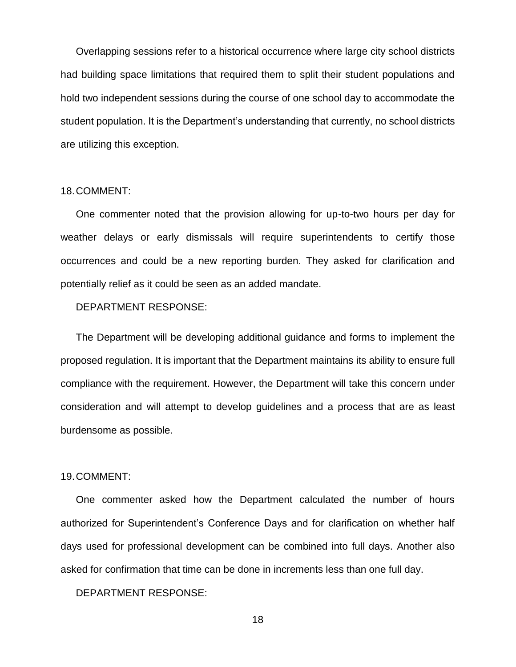Overlapping sessions refer to a historical occurrence where large city school districts had building space limitations that required them to split their student populations and hold two independent sessions during the course of one school day to accommodate the student population. It is the Department's understanding that currently, no school districts are utilizing this exception.

## 18.COMMENT:

One commenter noted that the provision allowing for up-to-two hours per day for weather delays or early dismissals will require superintendents to certify those occurrences and could be a new reporting burden. They asked for clarification and potentially relief as it could be seen as an added mandate.

## DEPARTMENT RESPONSE:

The Department will be developing additional guidance and forms to implement the proposed regulation. It is important that the Department maintains its ability to ensure full compliance with the requirement. However, the Department will take this concern under consideration and will attempt to develop guidelines and a process that are as least burdensome as possible.

#### 19.COMMENT:

One commenter asked how the Department calculated the number of hours authorized for Superintendent's Conference Days and for clarification on whether half days used for professional development can be combined into full days. Another also asked for confirmation that time can be done in increments less than one full day.

DEPARTMENT RESPONSE: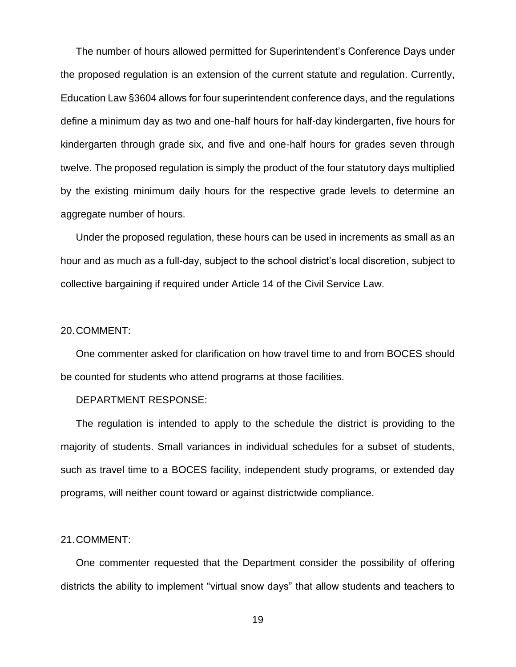The number of hours allowed permitted for Superintendent's Conference Days under the proposed regulation is an extension of the current statute and regulation. Currently, Education Law §3604 allows for four superintendent conference days, and the regulations define a minimum day as two and one-half hours for half-day kindergarten, five hours for kindergarten through grade six, and five and one-half hours for grades seven through twelve. The proposed regulation is simply the product of the four statutory days multiplied by the existing minimum daily hours for the respective grade levels to determine an aggregate number of hours.

Under the proposed regulation, these hours can be used in increments as small as an hour and as much as a full-day, subject to the school district's local discretion, subject to collective bargaining if required under Article 14 of the Civil Service Law.

## 20.COMMENT:

One commenter asked for clarification on how travel time to and from BOCES should be counted for students who attend programs at those facilities.

## DEPARTMENT RESPONSE:

The regulation is intended to apply to the schedule the district is providing to the majority of students. Small variances in individual schedules for a subset of students, such as travel time to a BOCES facility, independent study programs, or extended day programs, will neither count toward or against districtwide compliance.

#### 21.COMMENT:

One commenter requested that the Department consider the possibility of offering districts the ability to implement "virtual snow days" that allow students and teachers to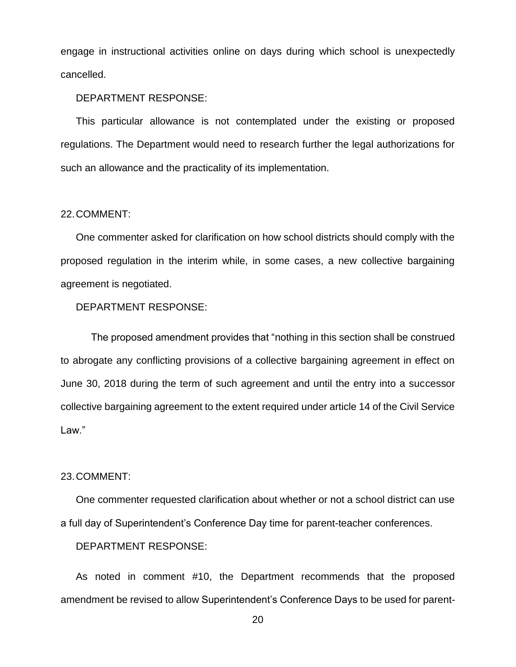engage in instructional activities online on days during which school is unexpectedly cancelled.

#### DEPARTMENT RESPONSE:

This particular allowance is not contemplated under the existing or proposed regulations. The Department would need to research further the legal authorizations for such an allowance and the practicality of its implementation.

#### 22.COMMENT:

One commenter asked for clarification on how school districts should comply with the proposed regulation in the interim while, in some cases, a new collective bargaining agreement is negotiated.

## DEPARTMENT RESPONSE:

The proposed amendment provides that "nothing in this section shall be construed to abrogate any conflicting provisions of a collective bargaining agreement in effect on June 30, 2018 during the term of such agreement and until the entry into a successor collective bargaining agreement to the extent required under article 14 of the Civil Service Law."

#### 23.COMMENT:

One commenter requested clarification about whether or not a school district can use a full day of Superintendent's Conference Day time for parent-teacher conferences.

DEPARTMENT RESPONSE:

As noted in comment #10, the Department recommends that the proposed amendment be revised to allow Superintendent's Conference Days to be used for parent-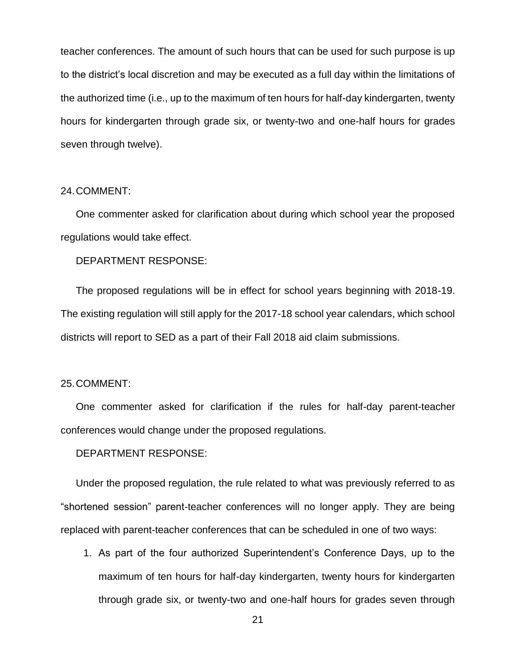teacher conferences. The amount of such hours that can be used for such purpose is up to the district's local discretion and may be executed as a full day within the limitations of the authorized time (i.e., up to the maximum of ten hours for half-day kindergarten, twenty hours for kindergarten through grade six, or twenty-two and one-half hours for grades seven through twelve).

## 24.COMMENT:

One commenter asked for clarification about during which school year the proposed regulations would take effect.

DEPARTMENT RESPONSE:

The proposed regulations will be in effect for school years beginning with 2018-19. The existing regulation will still apply for the 2017-18 school year calendars, which school districts will report to SED as a part of their Fall 2018 aid claim submissions.

#### 25.COMMENT:

One commenter asked for clarification if the rules for half-day parent-teacher conferences would change under the proposed regulations.

DEPARTMENT RESPONSE:

Under the proposed regulation, the rule related to what was previously referred to as "shortened session" parent-teacher conferences will no longer apply. They are being replaced with parent-teacher conferences that can be scheduled in one of two ways:

1. As part of the four authorized Superintendent's Conference Days, up to the maximum of ten hours for half-day kindergarten, twenty hours for kindergarten through grade six, or twenty-two and one-half hours for grades seven through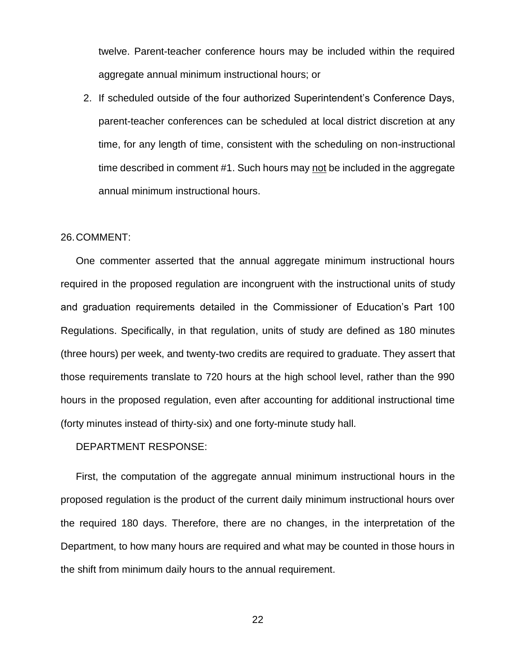twelve. Parent-teacher conference hours may be included within the required aggregate annual minimum instructional hours; or

2. If scheduled outside of the four authorized Superintendent's Conference Days, parent-teacher conferences can be scheduled at local district discretion at any time, for any length of time, consistent with the scheduling on non-instructional time described in comment #1. Such hours may not be included in the aggregate annual minimum instructional hours.

## 26.COMMENT:

One commenter asserted that the annual aggregate minimum instructional hours required in the proposed regulation are incongruent with the instructional units of study and graduation requirements detailed in the Commissioner of Education's Part 100 Regulations. Specifically, in that regulation, units of study are defined as 180 minutes (three hours) per week, and twenty-two credits are required to graduate. They assert that those requirements translate to 720 hours at the high school level, rather than the 990 hours in the proposed regulation, even after accounting for additional instructional time (forty minutes instead of thirty-six) and one forty-minute study hall.

## DEPARTMENT RESPONSE:

First, the computation of the aggregate annual minimum instructional hours in the proposed regulation is the product of the current daily minimum instructional hours over the required 180 days. Therefore, there are no changes, in the interpretation of the Department, to how many hours are required and what may be counted in those hours in the shift from minimum daily hours to the annual requirement.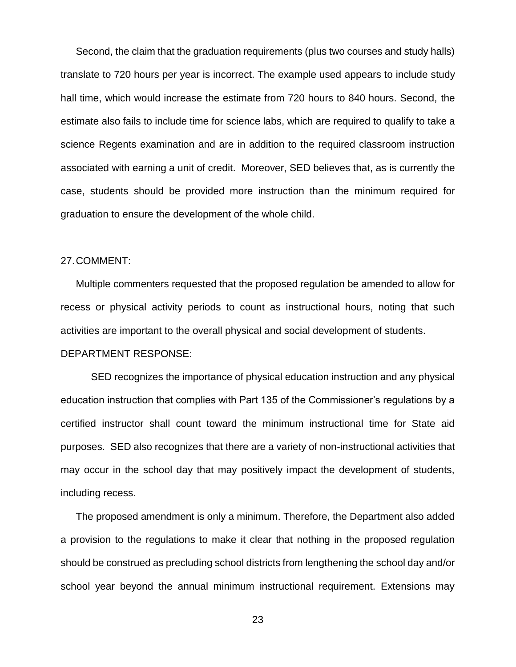Second, the claim that the graduation requirements (plus two courses and study halls) translate to 720 hours per year is incorrect. The example used appears to include study hall time, which would increase the estimate from 720 hours to 840 hours. Second, the estimate also fails to include time for science labs, which are required to qualify to take a science Regents examination and are in addition to the required classroom instruction associated with earning a unit of credit. Moreover, SED believes that, as is currently the case, students should be provided more instruction than the minimum required for graduation to ensure the development of the whole child.

## 27.COMMENT:

Multiple commenters requested that the proposed regulation be amended to allow for recess or physical activity periods to count as instructional hours, noting that such activities are important to the overall physical and social development of students.

## DEPARTMENT RESPONSE:

SED recognizes the importance of physical education instruction and any physical education instruction that complies with Part 135 of the Commissioner's regulations by a certified instructor shall count toward the minimum instructional time for State aid purposes. SED also recognizes that there are a variety of non-instructional activities that may occur in the school day that may positively impact the development of students, including recess.

The proposed amendment is only a minimum. Therefore, the Department also added a provision to the regulations to make it clear that nothing in the proposed regulation should be construed as precluding school districts from lengthening the school day and/or school year beyond the annual minimum instructional requirement. Extensions may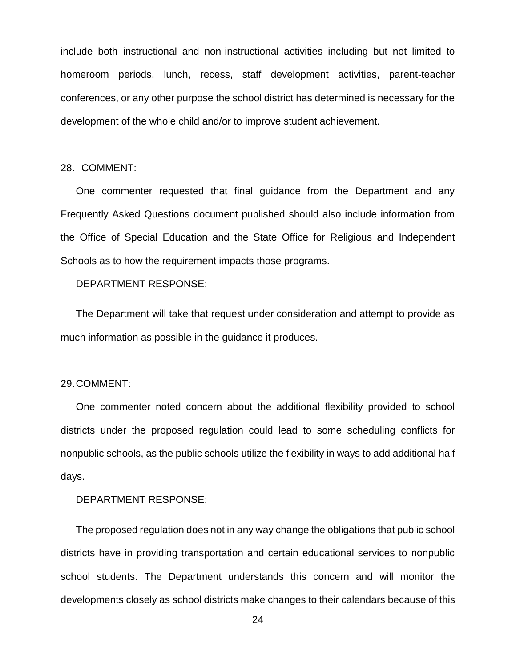include both instructional and non-instructional activities including but not limited to homeroom periods, lunch, recess, staff development activities, parent-teacher conferences, or any other purpose the school district has determined is necessary for the development of the whole child and/or to improve student achievement.

## 28. COMMENT:

One commenter requested that final guidance from the Department and any Frequently Asked Questions document published should also include information from the Office of Special Education and the State Office for Religious and Independent Schools as to how the requirement impacts those programs.

## DEPARTMENT RESPONSE:

The Department will take that request under consideration and attempt to provide as much information as possible in the guidance it produces.

#### 29.COMMENT:

One commenter noted concern about the additional flexibility provided to school districts under the proposed regulation could lead to some scheduling conflicts for nonpublic schools, as the public schools utilize the flexibility in ways to add additional half days.

DEPARTMENT RESPONSE:

The proposed regulation does not in any way change the obligations that public school districts have in providing transportation and certain educational services to nonpublic school students. The Department understands this concern and will monitor the developments closely as school districts make changes to their calendars because of this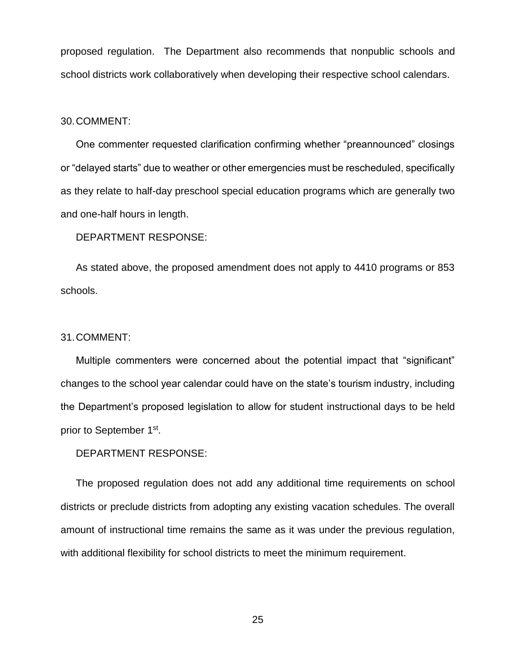proposed regulation. The Department also recommends that nonpublic schools and school districts work collaboratively when developing their respective school calendars.

#### 30.COMMENT:

One commenter requested clarification confirming whether "preannounced" closings or "delayed starts" due to weather or other emergencies must be rescheduled, specifically as they relate to half-day preschool special education programs which are generally two and one-half hours in length.

## DEPARTMENT RESPONSE:

As stated above, the proposed amendment does not apply to 4410 programs or 853 schools.

#### 31.COMMENT:

Multiple commenters were concerned about the potential impact that "significant" changes to the school year calendar could have on the state's tourism industry, including the Department's proposed legislation to allow for student instructional days to be held prior to September 1<sup>st</sup>.

#### DEPARTMENT RESPONSE:

The proposed regulation does not add any additional time requirements on school districts or preclude districts from adopting any existing vacation schedules. The overall amount of instructional time remains the same as it was under the previous regulation, with additional flexibility for school districts to meet the minimum requirement.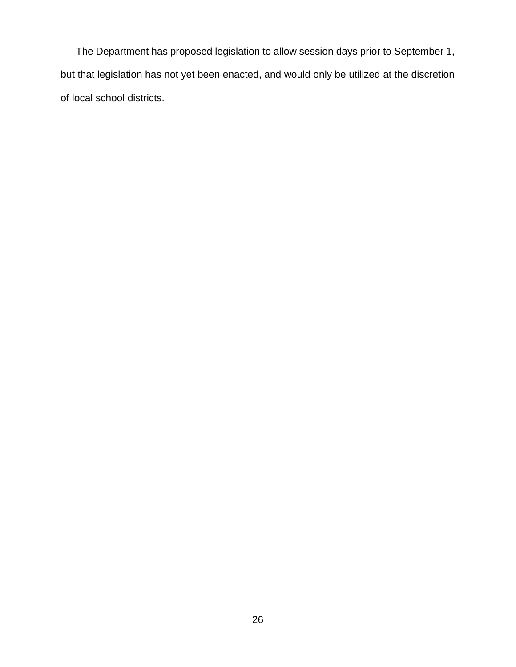The Department has proposed legislation to allow session days prior to September 1, but that legislation has not yet been enacted, and would only be utilized at the discretion of local school districts.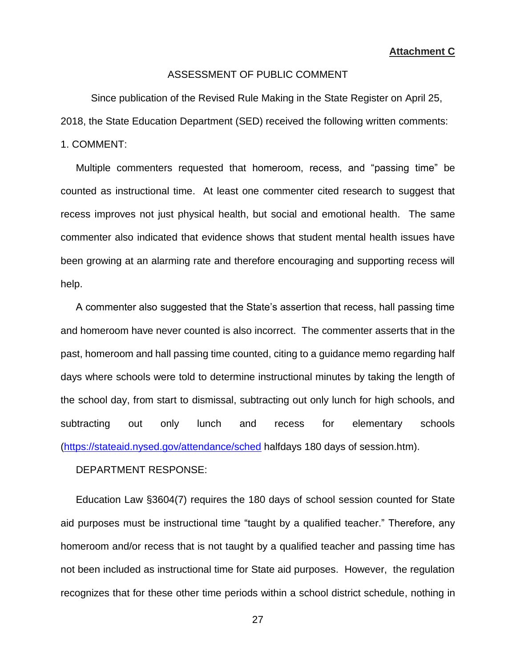**Attachment C**

## ASSESSMENT OF PUBLIC COMMENT

Since publication of the Revised Rule Making in the State Register on April 25,

2018, the State Education Department (SED) received the following written comments:

1. COMMENT:

Multiple commenters requested that homeroom, recess, and "passing time" be counted as instructional time. At least one commenter cited research to suggest that recess improves not just physical health, but social and emotional health. The same commenter also indicated that evidence shows that student mental health issues have been growing at an alarming rate and therefore encouraging and supporting recess will help.

A commenter also suggested that the State's assertion that recess, hall passing time and homeroom have never counted is also incorrect. The commenter asserts that in the past, homeroom and hall passing time counted, citing to a guidance memo regarding half days where schools were told to determine instructional minutes by taking the length of the school day, from start to dismissal, subtracting out only lunch for high schools, and subtracting out only lunch and recess for elementary schools [\(https://stateaid.nysed.gov/attendance/sched](https://stateaid.nysed.gov/attendance/sched) halfdays 180 days of session.htm).

DEPARTMENT RESPONSE:

Education Law §3604(7) requires the 180 days of school session counted for State aid purposes must be instructional time "taught by a qualified teacher." Therefore, any homeroom and/or recess that is not taught by a qualified teacher and passing time has not been included as instructional time for State aid purposes. However, the regulation recognizes that for these other time periods within a school district schedule, nothing in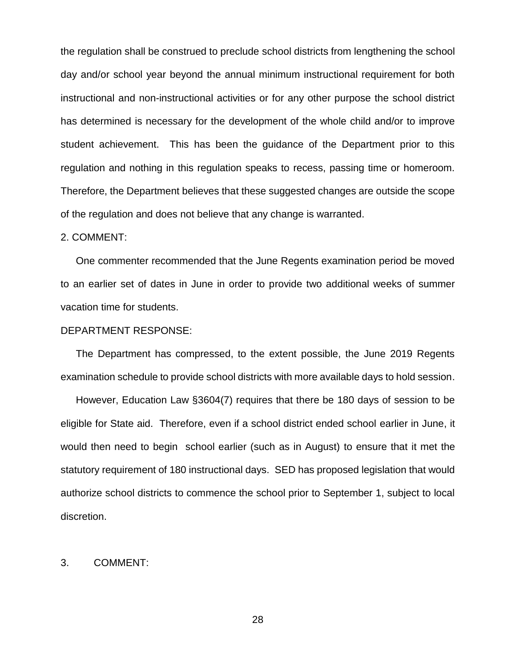the regulation shall be construed to preclude school districts from lengthening the school day and/or school year beyond the annual minimum instructional requirement for both instructional and non-instructional activities or for any other purpose the school district has determined is necessary for the development of the whole child and/or to improve student achievement. This has been the guidance of the Department prior to this regulation and nothing in this regulation speaks to recess, passing time or homeroom. Therefore, the Department believes that these suggested changes are outside the scope of the regulation and does not believe that any change is warranted.

## 2. COMMENT:

One commenter recommended that the June Regents examination period be moved to an earlier set of dates in June in order to provide two additional weeks of summer vacation time for students.

## DEPARTMENT RESPONSE:

The Department has compressed, to the extent possible, the June 2019 Regents examination schedule to provide school districts with more available days to hold session.

However, Education Law §3604(7) requires that there be 180 days of session to be eligible for State aid. Therefore, even if a school district ended school earlier in June, it would then need to begin school earlier (such as in August) to ensure that it met the statutory requirement of 180 instructional days. SED has proposed legislation that would authorize school districts to commence the school prior to September 1, subject to local discretion.

## 3. COMMENT: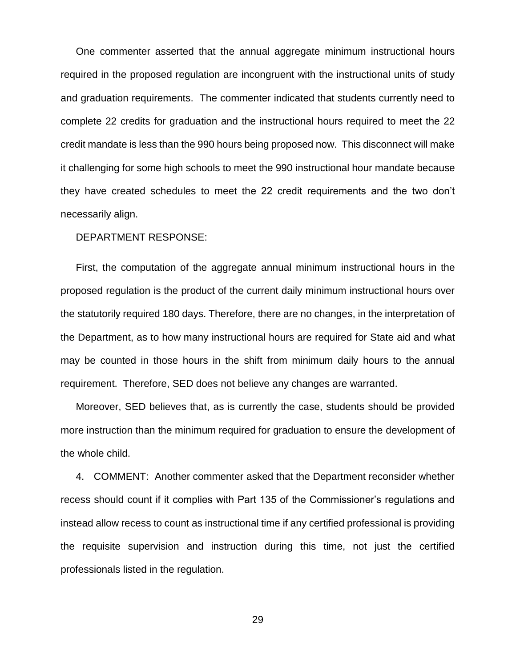One commenter asserted that the annual aggregate minimum instructional hours required in the proposed regulation are incongruent with the instructional units of study and graduation requirements. The commenter indicated that students currently need to complete 22 credits for graduation and the instructional hours required to meet the 22 credit mandate is less than the 990 hours being proposed now. This disconnect will make it challenging for some high schools to meet the 990 instructional hour mandate because they have created schedules to meet the 22 credit requirements and the two don't necessarily align.

## DEPARTMENT RESPONSE:

First, the computation of the aggregate annual minimum instructional hours in the proposed regulation is the product of the current daily minimum instructional hours over the statutorily required 180 days. Therefore, there are no changes, in the interpretation of the Department, as to how many instructional hours are required for State aid and what may be counted in those hours in the shift from minimum daily hours to the annual requirement. Therefore, SED does not believe any changes are warranted.

Moreover, SED believes that, as is currently the case, students should be provided more instruction than the minimum required for graduation to ensure the development of the whole child.

4. COMMENT: Another commenter asked that the Department reconsider whether recess should count if it complies with Part 135 of the Commissioner's regulations and instead allow recess to count as instructional time if any certified professional is providing the requisite supervision and instruction during this time, not just the certified professionals listed in the regulation.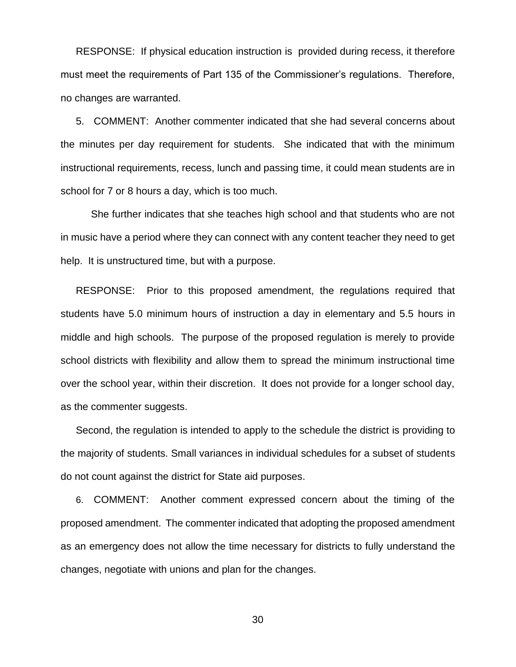RESPONSE: If physical education instruction is provided during recess, it therefore must meet the requirements of Part 135 of the Commissioner's regulations. Therefore, no changes are warranted.

5. COMMENT: Another commenter indicated that she had several concerns about the minutes per day requirement for students. She indicated that with the minimum instructional requirements, recess, lunch and passing time, it could mean students are in school for 7 or 8 hours a day, which is too much.

She further indicates that she teaches high school and that students who are not in music have a period where they can connect with any content teacher they need to get help. It is unstructured time, but with a purpose.

RESPONSE: Prior to this proposed amendment, the regulations required that students have 5.0 minimum hours of instruction a day in elementary and 5.5 hours in middle and high schools. The purpose of the proposed regulation is merely to provide school districts with flexibility and allow them to spread the minimum instructional time over the school year, within their discretion. It does not provide for a longer school day, as the commenter suggests.

Second, the regulation is intended to apply to the schedule the district is providing to the majority of students. Small variances in individual schedules for a subset of students do not count against the district for State aid purposes.

6. COMMENT: Another comment expressed concern about the timing of the proposed amendment. The commenter indicated that adopting the proposed amendment as an emergency does not allow the time necessary for districts to fully understand the changes, negotiate with unions and plan for the changes.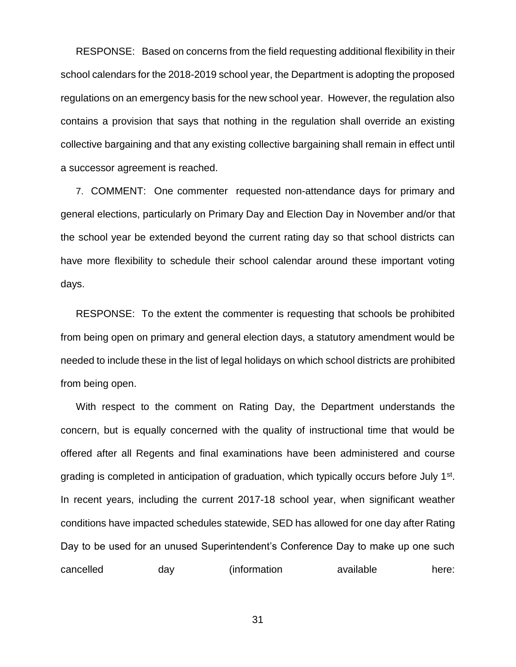RESPONSE: Based on concerns from the field requesting additional flexibility in their school calendars for the 2018-2019 school year, the Department is adopting the proposed regulations on an emergency basis for the new school year. However, the regulation also contains a provision that says that nothing in the regulation shall override an existing collective bargaining and that any existing collective bargaining shall remain in effect until a successor agreement is reached.

7. COMMENT: One commenter requested non-attendance days for primary and general elections, particularly on Primary Day and Election Day in November and/or that the school year be extended beyond the current rating day so that school districts can have more flexibility to schedule their school calendar around these important voting days.

RESPONSE: To the extent the commenter is requesting that schools be prohibited from being open on primary and general election days, a statutory amendment would be needed to include these in the list of legal holidays on which school districts are prohibited from being open.

With respect to the comment on Rating Day, the Department understands the concern, but is equally concerned with the quality of instructional time that would be offered after all Regents and final examinations have been administered and course grading is completed in anticipation of graduation, which typically occurs before July 1<sup>st</sup>. In recent years, including the current 2017-18 school year, when significant weather conditions have impacted schedules statewide, SED has allowed for one day after Rating Day to be used for an unused Superintendent's Conference Day to make up one such cancelled day (information available here: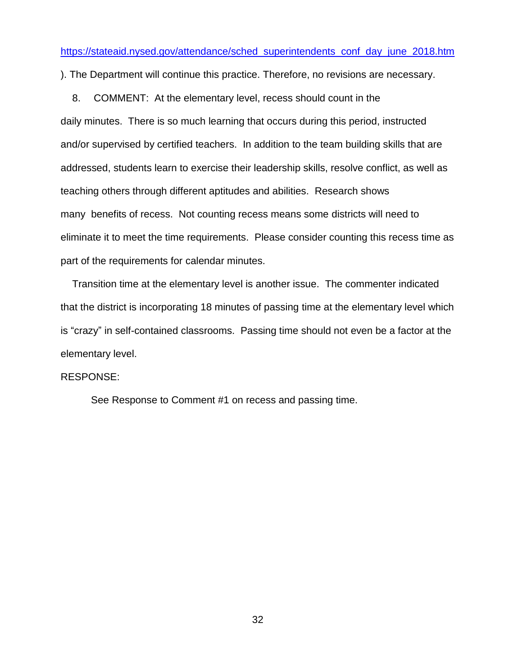[https://stateaid.nysed.gov/attendance/sched\\_superintendents\\_conf\\_day\\_june\\_2018.htm](https://stateaid.nysed.gov/attendance/sched_superintendents_conf_day_june_2018.htm)

). The Department will continue this practice. Therefore, no revisions are necessary.

8. COMMENT: At the elementary level, recess should count in the daily minutes. There is so much learning that occurs during this period, instructed and/or supervised by certified teachers. In addition to the team building skills that are addressed, students learn to exercise their leadership skills, resolve conflict, as well as teaching others through different aptitudes and abilities. Research shows many benefits of recess. Not counting recess means some districts will need to eliminate it to meet the time requirements. Please consider counting this recess time as part of the requirements for calendar minutes.

Transition time at the elementary level is another issue. The commenter indicated that the district is incorporating 18 minutes of passing time at the elementary level which is "crazy" in self-contained classrooms. Passing time should not even be a factor at the elementary level.

#### RESPONSE:

See Response to Comment #1 on recess and passing time.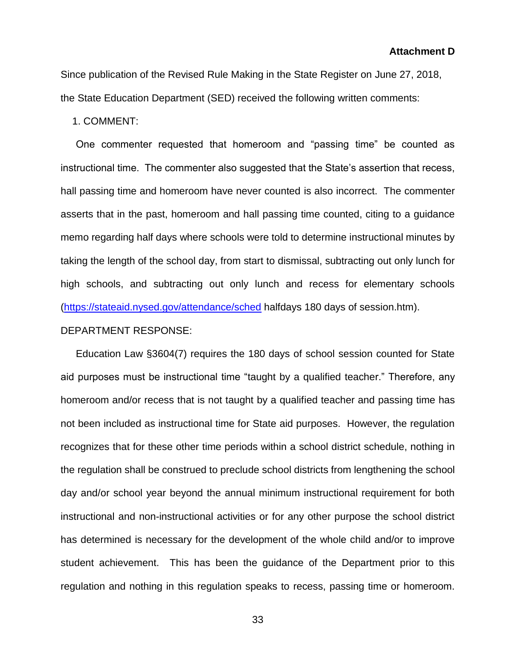Since publication of the Revised Rule Making in the State Register on June 27, 2018, the State Education Department (SED) received the following written comments:

1. COMMENT:

One commenter requested that homeroom and "passing time" be counted as instructional time. The commenter also suggested that the State's assertion that recess, hall passing time and homeroom have never counted is also incorrect. The commenter asserts that in the past, homeroom and hall passing time counted, citing to a guidance memo regarding half days where schools were told to determine instructional minutes by taking the length of the school day, from start to dismissal, subtracting out only lunch for high schools, and subtracting out only lunch and recess for elementary schools [\(https://stateaid.nysed.gov/attendance/sched](https://stateaid.nysed.gov/attendance/sched) halfdays 180 days of session.htm).

## DEPARTMENT RESPONSE:

Education Law §3604(7) requires the 180 days of school session counted for State aid purposes must be instructional time "taught by a qualified teacher." Therefore, any homeroom and/or recess that is not taught by a qualified teacher and passing time has not been included as instructional time for State aid purposes. However, the regulation recognizes that for these other time periods within a school district schedule, nothing in the regulation shall be construed to preclude school districts from lengthening the school day and/or school year beyond the annual minimum instructional requirement for both instructional and non-instructional activities or for any other purpose the school district has determined is necessary for the development of the whole child and/or to improve student achievement. This has been the guidance of the Department prior to this regulation and nothing in this regulation speaks to recess, passing time or homeroom.